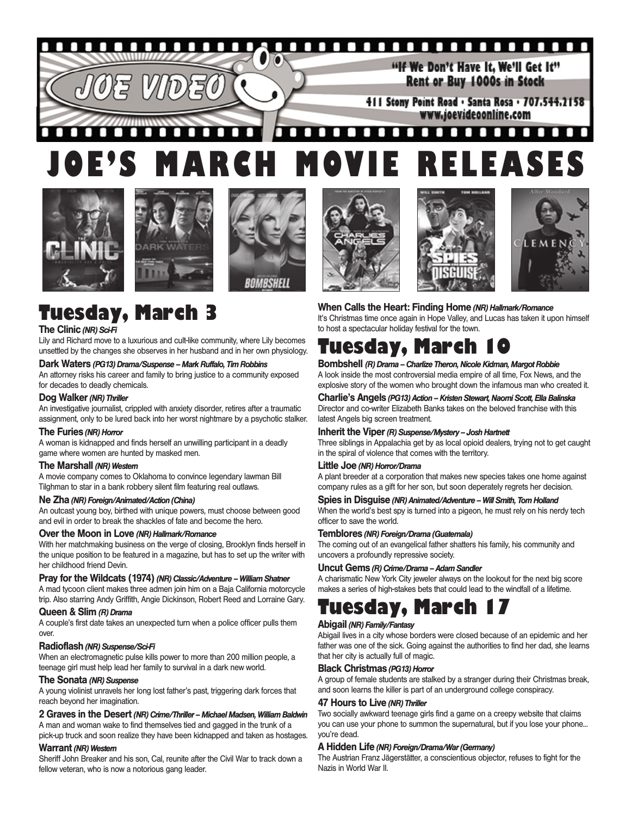#### о п П П О П O "If We Don't Have It. We'll Get It" Rent or Buy 1000s in Stock 411 Stony Point Road · Santa Rosa · 707.544.2158 www.joevideoonline.com

#### П П п п п п П г П п п п п п п п **JOE'S MARCH MOVIE RELEASES**













## **Tuesday, March 3**

## **The Clinic** *(NR) Sci-Fi*

Lily and Richard move to a luxurious and cult-like community, where Lily becomes unsettled by the changes she observes in her husband and in her own physiology.

## **Dark Waters** *(PG13) Drama/Suspense – Mark Ruffalo, Tim Robbins*

An attorney risks his career and family to bring justice to a community exposed for decades to deadly chemicals.

## **Dog Walker** *(NR) Thriller*

An investigative journalist, crippled with anxiety disorder, retires after a traumatic assignment, only to be lured back into her worst nightmare by a psychotic stalker.

## **The Furies** *(NR) Horror*

A woman is kidnapped and finds herself an unwilling participant in a deadly game where women are hunted by masked men.

## **The Marshall** *(NR) Western*

A movie company comes to Oklahoma to convince legendary lawman Bill Tilghman to star in a bank robbery silent film featuring real outlaws.

## **Ne Zha** *(NR) Foreign/Animated/Action (China)*

An outcast young boy, birthed with unique powers, must choose between good and evil in order to break the shackles of fate and become the hero.

## **Over the Moon in Love** *(NR) Hallmark/Romance*

With her matchmaking business on the verge of closing, Brooklyn finds herself in the unique position to be featured in a magazine, but has to set up the writer with her childhood friend Devin.

## **Pray for the Wildcats (1974)***(NR) Classic/Adventure – William Shatner*

A mad tycoon client makes three admen join him on a Baja California motorcycle trip. Also starring Andy Griffith, Angie Dickinson, Robert Reed and Lorraine Gary.

## **Queen & Slim** *(R) Drama*

A couple's first date takes an unexpected turn when a police officer pulls them over.

## **Radioflash** *(NR) Suspense/Sci-Fi*

When an electromagnetic pulse kills power to more than 200 million people, a teenage girl must help lead her family to survival in a dark new world.

### **The Sonata** *(NR) Suspense*

A young violinist unravels her long lost father's past, triggering dark forces that reach beyond her imagination.

## **2 Graves in the Desert** *(NR) Crime/Thriller – Michael Madsen, William Baldwin*

A man and woman wake to find themselves tied and gagged in the trunk of a pick-up truck and soon realize they have been kidnapped and taken as hostages.

### **Warrant** *(NR) Western*

Sheriff John Breaker and his son, Cal, reunite after the Civil War to track down a fellow veteran, who is now a notorious gang leader.

# to host a spectacular holiday festival for the town.

**When Calls the Heart: Finding Home** *(NR) Hallmark/Romance*

**Tuesday, March 10 Bombshell** *(R) Drama – Charlize Theron, Nicole Kidman, Margot Robbie*

A look inside the most controversial media empire of all time, Fox News, and the explosive story of the women who brought down the infamous man who created it.

It's Christmas time once again in Hope Valley, and Lucas has taken it upon himself

## **Charlie's Angels** *(PG13) Action – Kristen Stewart, Naomi Scott, Ella Balinska*

Director and co-writer Elizabeth Banks takes on the beloved franchise with this latest Angels big screen treatment.

## **Inherit the Viper** *(R) Suspense/Mystery – Josh Hartnett*

Three siblings in Appalachia get by as local opioid dealers, trying not to get caught in the spiral of violence that comes with the territory.

## **Little Joe** *(NR) Horror/Drama*

A plant breeder at a corporation that makes new species takes one home against company rules as a gift for her son, but soon deperately regrets her decision.

## **Spies in Disguise** *(NR) Animated/Adventure – Will Smith, Tom Holland*

When the world's best spy is turned into a pigeon, he must rely on his nerdy tech officer to save the world.

## **Temblores** *(NR) Foreign/Drama (Guatemala)*

The coming out of an evangelical father shatters his family, his community and uncovers a profoundly repressive society.

## **Uncut Gems** *(R) Crime/Drama – Adam Sandler*

A charismatic New York City jeweler always on the lookout for the next big score makes a series of high-stakes bets that could lead to the windfall of a lifetime.

# **Tuesday, March 17**

## **Abigail** *(NR) Family/Fantasy*

Abigail lives in a city whose borders were closed because of an epidemic and her father was one of the sick. Going against the authorities to find her dad, she learns that her city is actually full of magic.

### **Black Christmas** *(PG13) Horror*

A group of female students are stalked by a stranger during their Christmas break, and soon learns the killer is part of an underground college conspiracy.

## **47 Hours to Live** *(NR) Thriller*

Two socially awkward teenage girls find a game on a creepy website that claims you can use your phone to summon the supernatural, but if you lose your phone... you're dead.

## **A Hidden Life** *(NR) Foreign/Drama/War (Germany)*

The Austrian Franz Jägerstätter, a conscientious objector, refuses to fight for the Nazis in World War II.